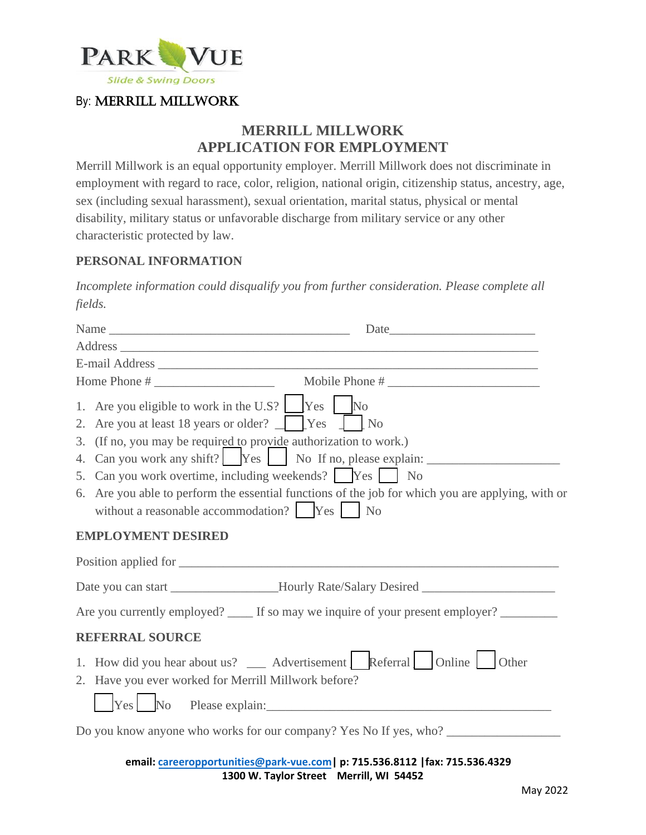

# **MERRILL MILLWORK APPLICATION FOR EMPLOYMENT**

Merrill Millwork is an equal opportunity employer. Merrill Millwork does not discriminate in employment with regard to race, color, religion, national origin, citizenship status, ancestry, age, sex (including sexual harassment), sexual orientation, marital status, physical or mental disability, military status or unfavorable discharge from military service or any other characteristic protected by law.

### **PERSONAL INFORMATION**

*Incomplete information could disqualify you from further consideration. Please complete all fields.*

| Name Date                                                                                                                                                                                                                                                |                                                                                                                                                                                        |
|----------------------------------------------------------------------------------------------------------------------------------------------------------------------------------------------------------------------------------------------------------|----------------------------------------------------------------------------------------------------------------------------------------------------------------------------------------|
|                                                                                                                                                                                                                                                          |                                                                                                                                                                                        |
|                                                                                                                                                                                                                                                          |                                                                                                                                                                                        |
|                                                                                                                                                                                                                                                          |                                                                                                                                                                                        |
| 1. Are you eligible to work in the U.S? $\Box$ Yes $\Box$ No<br>2. Are you at least 18 years or older? $\Box$ [Yes ] [No<br>3. (If no, you may be required to provide authorization to work.)<br>5. Can you work overtime, including weekends? [Pes   No | 4. Can you work any shift?   Yes   No If no, please explain: ____________________<br>6. Are you able to perform the essential functions of the job for which you are applying, with or |
| <b>EMPLOYMENT DESIRED</b>                                                                                                                                                                                                                                |                                                                                                                                                                                        |
|                                                                                                                                                                                                                                                          |                                                                                                                                                                                        |
|                                                                                                                                                                                                                                                          | Date you can start _________________Hourly Rate/Salary Desired __________________                                                                                                      |
|                                                                                                                                                                                                                                                          | Are you currently employed? _____ If so may we inquire of your present employer? ____________                                                                                          |
| <b>REFERRAL SOURCE</b>                                                                                                                                                                                                                                   |                                                                                                                                                                                        |
| 1. How did you hear about us? __ Advertisement L Referral Online Other<br>2. Have you ever worked for Merrill Millwork before?<br>$\sqrt{\frac{1}{2} \text{Yes}}$ No Please explain:                                                                     |                                                                                                                                                                                        |
|                                                                                                                                                                                                                                                          | Do you know anyone who works for our company? Yes No If yes, who? _______________                                                                                                      |
|                                                                                                                                                                                                                                                          | $\ddot{o}$ concerned with $\alpha$ from we can be 745 536 0443 Lew 745 536 4390                                                                                                        |

**email: careeropportunities@park-vue.com| p: 715.536.8112 |fax: 715.536.4329 1300 W. Taylor Street Merrill, WI 54452**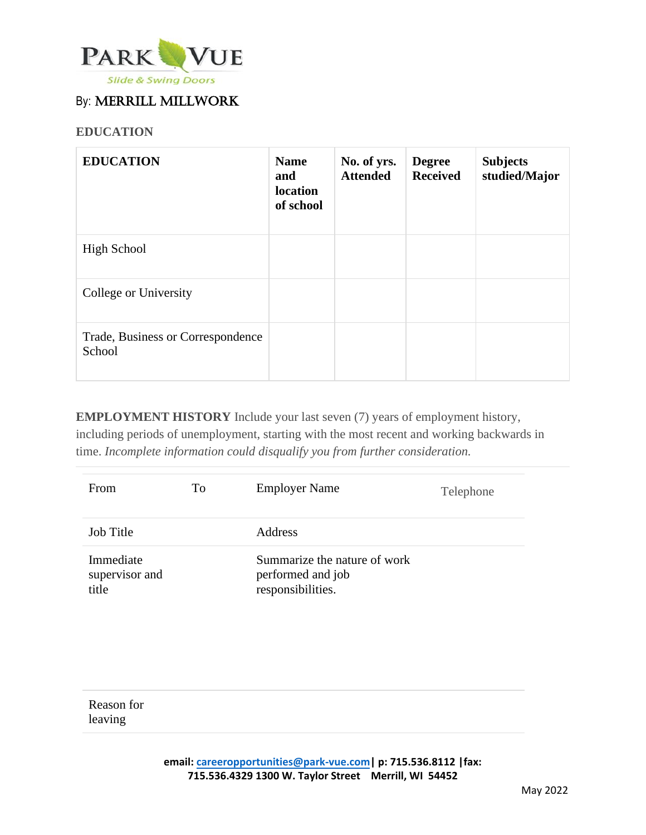

### **EDUCATION**

| <b>EDUCATION</b>                            | <b>Name</b><br>and<br>location<br>of school | No. of yrs.<br><b>Attended</b> | <b>Degree</b><br><b>Received</b> | <b>Subjects</b><br>studied/Major |
|---------------------------------------------|---------------------------------------------|--------------------------------|----------------------------------|----------------------------------|
| <b>High School</b>                          |                                             |                                |                                  |                                  |
| College or University                       |                                             |                                |                                  |                                  |
| Trade, Business or Correspondence<br>School |                                             |                                |                                  |                                  |

**EMPLOYMENT HISTORY** Include your last seven (7) years of employment history, including periods of unemployment, starting with the most recent and working backwards in time. *Incomplete information could disqualify you from further consideration.*

| From                                 | To | <b>Employer Name</b>                                                   | Telephone |
|--------------------------------------|----|------------------------------------------------------------------------|-----------|
| Job Title                            |    | Address                                                                |           |
| Immediate<br>supervisor and<br>title |    | Summarize the nature of work<br>performed and job<br>responsibilities. |           |

Reason for leaving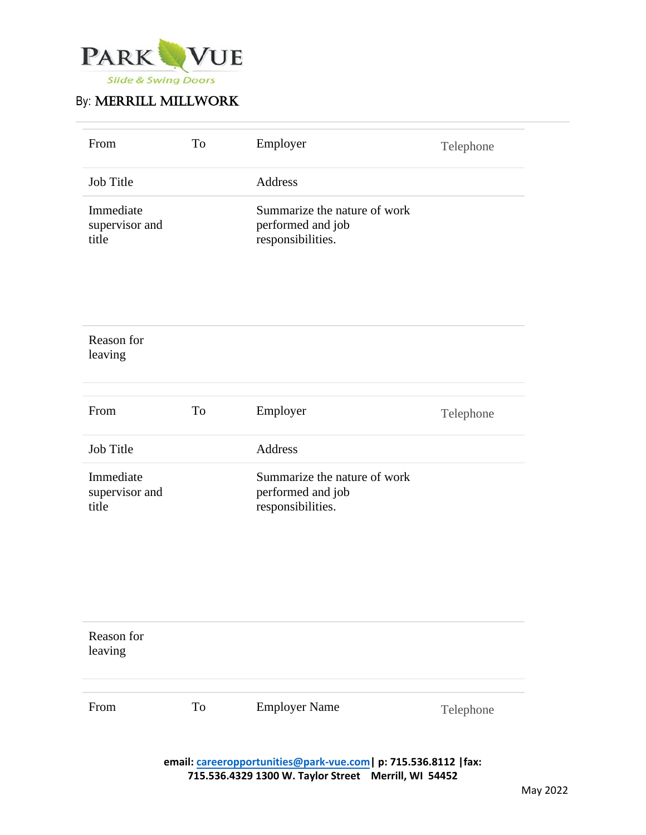

| From                                 | To | Employer                                                               | Telephone |
|--------------------------------------|----|------------------------------------------------------------------------|-----------|
| <b>Job Title</b>                     |    | <b>Address</b>                                                         |           |
| Immediate<br>supervisor and<br>title |    | Summarize the nature of work<br>performed and job<br>responsibilities. |           |

| Reason for<br>leaving                |    |                                                                        |           |
|--------------------------------------|----|------------------------------------------------------------------------|-----------|
| From                                 | To | Employer                                                               | Telephone |
| <b>Job Title</b>                     |    | Address                                                                |           |
| Immediate<br>supervisor and<br>title |    | Summarize the nature of work<br>performed and job<br>responsibilities. |           |

| Reason for<br>leaving |    |                      |               |
|-----------------------|----|----------------------|---------------|
| From                  | To | <b>Employer Name</b> | Telephone     |
|                       |    |                      | $\sim$ $\sim$ |

**email: careeropportunities@park-vue.com| p: 715.536.8112 |fax: 715.536.4329 1300 W. Taylor Street Merrill, WI 54452**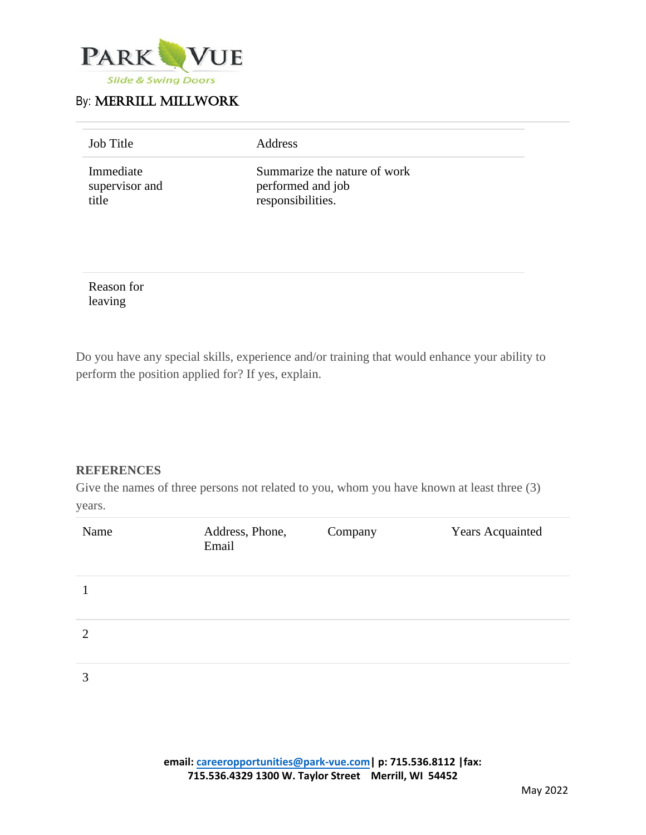

| <b>Job Title</b>                     | Address                                                                |  |
|--------------------------------------|------------------------------------------------------------------------|--|
| Immediate<br>supervisor and<br>title | Summarize the nature of work<br>performed and job<br>responsibilities. |  |

Reason for leaving

Do you have any special skills, experience and/or training that would enhance your ability to perform the position applied for? If yes, explain.

### **REFERENCES**

Give the names of three persons not related to you, whom you have known at least three (3) years.

| Name           | Address, Phone,<br>Email | Company | <b>Years Acquainted</b> |
|----------------|--------------------------|---------|-------------------------|
|                |                          |         |                         |
| $\overline{2}$ |                          |         |                         |
| 3              |                          |         |                         |